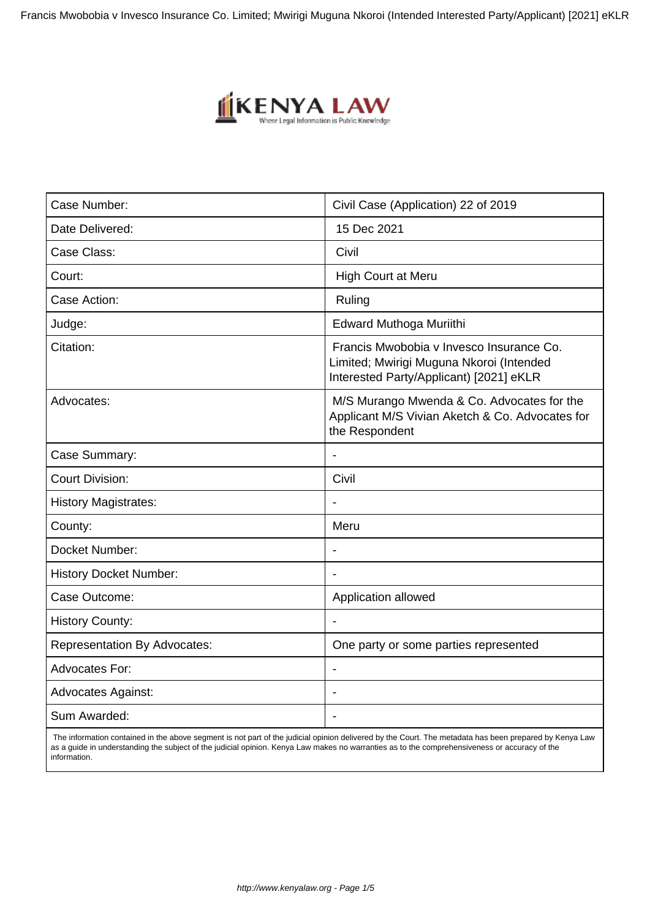Francis Mwobobia v Invesco Insurance Co. Limited; Mwirigi Muguna Nkoroi (Intended Interested Party/Applicant) [2021] eKLR



| Case Number:                        | Civil Case (Application) 22 of 2019                                                                                             |
|-------------------------------------|---------------------------------------------------------------------------------------------------------------------------------|
| Date Delivered:                     | 15 Dec 2021                                                                                                                     |
| Case Class:                         | Civil                                                                                                                           |
| Court:                              | <b>High Court at Meru</b>                                                                                                       |
| Case Action:                        | Ruling                                                                                                                          |
| Judge:                              | Edward Muthoga Muriithi                                                                                                         |
| Citation:                           | Francis Mwobobia v Invesco Insurance Co.<br>Limited; Mwirigi Muguna Nkoroi (Intended<br>Interested Party/Applicant) [2021] eKLR |
| Advocates:                          | M/S Murango Mwenda & Co. Advocates for the<br>Applicant M/S Vivian Aketch & Co. Advocates for<br>the Respondent                 |
| Case Summary:                       | $\overline{\phantom{a}}$                                                                                                        |
| <b>Court Division:</b>              | Civil                                                                                                                           |
| <b>History Magistrates:</b>         |                                                                                                                                 |
| County:                             | Meru                                                                                                                            |
| Docket Number:                      |                                                                                                                                 |
| <b>History Docket Number:</b>       |                                                                                                                                 |
| Case Outcome:                       | Application allowed                                                                                                             |
| <b>History County:</b>              |                                                                                                                                 |
| <b>Representation By Advocates:</b> | One party or some parties represented                                                                                           |
| Advocates For:                      |                                                                                                                                 |
| <b>Advocates Against:</b>           |                                                                                                                                 |
| Sum Awarded:                        | $\overline{\phantom{a}}$                                                                                                        |
|                                     |                                                                                                                                 |

 The information contained in the above segment is not part of the judicial opinion delivered by the Court. The metadata has been prepared by Kenya Law as a guide in understanding the subject of the judicial opinion. Kenya Law makes no warranties as to the comprehensiveness or accuracy of the information.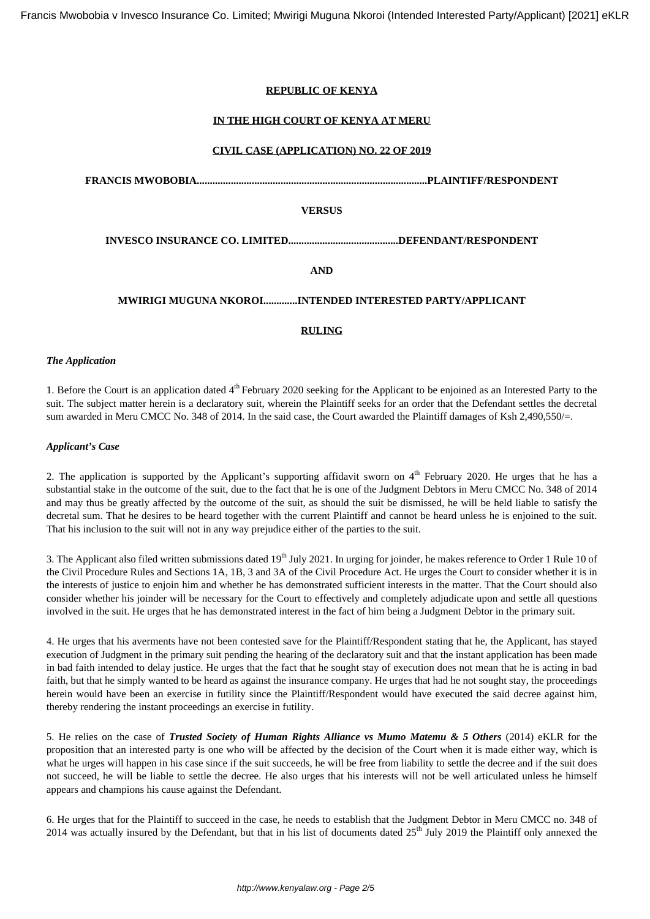# **REPUBLIC OF KENYA**

# **IN THE HIGH COURT OF KENYA AT MERU**

#### **CIVIL CASE (APPLICATION) NO. 22 OF 2019**

**FRANCIS MWOBOBIA........................................................................................PLAINTIFF/RESPONDENT**

#### **VERSUS**

**INVESCO INSURANCE CO. LIMITED..........................................DEFENDANT/RESPONDENT**

**AND**

# **MWIRIGI MUGUNA NKOROI.............INTENDED INTERESTED PARTY/APPLICANT**

# **RULING**

#### *The Application*

1. Before the Court is an application dated 4<sup>th</sup> February 2020 seeking for the Applicant to be enjoined as an Interested Party to the suit. The subject matter herein is a declaratory suit, wherein the Plaintiff seeks for an order that the Defendant settles the decretal sum awarded in Meru CMCC No. 348 of 2014. In the said case, the Court awarded the Plaintiff damages of Ksh 2,490,550/=.

#### *Applicant's Case*

2. The application is supported by the Applicant's supporting affidavit sworn on  $4<sup>th</sup>$  February 2020. He urges that he has a substantial stake in the outcome of the suit, due to the fact that he is one of the Judgment Debtors in Meru CMCC No. 348 of 2014 and may thus be greatly affected by the outcome of the suit, as should the suit be dismissed, he will be held liable to satisfy the decretal sum. That he desires to be heard together with the current Plaintiff and cannot be heard unless he is enjoined to the suit. That his inclusion to the suit will not in any way prejudice either of the parties to the suit.

3. The Applicant also filed written submissions dated 19<sup>th</sup> July 2021. In urging for joinder, he makes reference to Order 1 Rule 10 of the Civil Procedure Rules and Sections 1A, 1B, 3 and 3A of the Civil Procedure Act. He urges the Court to consider whether it is in the interests of justice to enjoin him and whether he has demonstrated sufficient interests in the matter. That the Court should also consider whether his joinder will be necessary for the Court to effectively and completely adjudicate upon and settle all questions involved in the suit. He urges that he has demonstrated interest in the fact of him being a Judgment Debtor in the primary suit.

4. He urges that his averments have not been contested save for the Plaintiff/Respondent stating that he, the Applicant, has stayed execution of Judgment in the primary suit pending the hearing of the declaratory suit and that the instant application has been made in bad faith intended to delay justice. He urges that the fact that he sought stay of execution does not mean that he is acting in bad faith, but that he simply wanted to be heard as against the insurance company. He urges that had he not sought stay, the proceedings herein would have been an exercise in futility since the Plaintiff/Respondent would have executed the said decree against him, thereby rendering the instant proceedings an exercise in futility.

5. He relies on the case of *Trusted Society of Human Rights Alliance vs Mumo Matemu & 5 Others* (2014) eKLR for the proposition that an interested party is one who will be affected by the decision of the Court when it is made either way, which is what he urges will happen in his case since if the suit succeeds, he will be free from liability to settle the decree and if the suit does not succeed, he will be liable to settle the decree. He also urges that his interests will not be well articulated unless he himself appears and champions his cause against the Defendant.

6. He urges that for the Plaintiff to succeed in the case, he needs to establish that the Judgment Debtor in Meru CMCC no. 348 of 2014 was actually insured by the Defendant, but that in his list of documents dated 25<sup>th</sup> July 2019 the Plaintiff only annexed the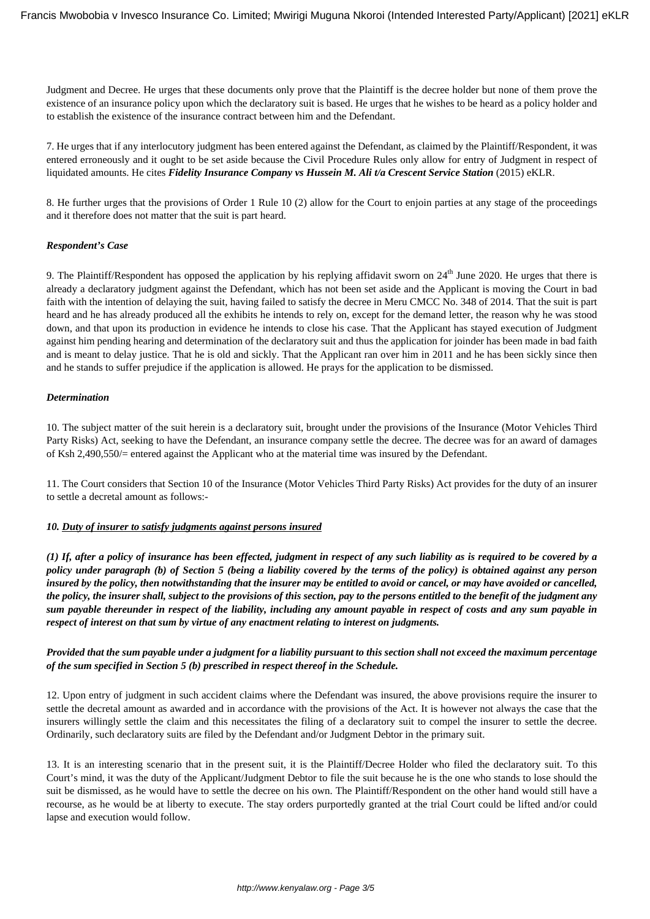Judgment and Decree. He urges that these documents only prove that the Plaintiff is the decree holder but none of them prove the existence of an insurance policy upon which the declaratory suit is based. He urges that he wishes to be heard as a policy holder and to establish the existence of the insurance contract between him and the Defendant.

7. He urges that if any interlocutory judgment has been entered against the Defendant, as claimed by the Plaintiff/Respondent, it was entered erroneously and it ought to be set aside because the Civil Procedure Rules only allow for entry of Judgment in respect of liquidated amounts. He cites *Fidelity Insurance Company vs Hussein M. Ali t/a Crescent Service Station* (2015) eKLR.

8. He further urges that the provisions of Order 1 Rule 10 (2) allow for the Court to enjoin parties at any stage of the proceedings and it therefore does not matter that the suit is part heard.

#### *Respondent's Case*

9. The Plaintiff/Respondent has opposed the application by his replying affidavit sworn on  $24<sup>th</sup>$  June 2020. He urges that there is already a declaratory judgment against the Defendant, which has not been set aside and the Applicant is moving the Court in bad faith with the intention of delaying the suit, having failed to satisfy the decree in Meru CMCC No. 348 of 2014. That the suit is part heard and he has already produced all the exhibits he intends to rely on, except for the demand letter, the reason why he was stood down, and that upon its production in evidence he intends to close his case. That the Applicant has stayed execution of Judgment against him pending hearing and determination of the declaratory suit and thus the application for joinder has been made in bad faith and is meant to delay justice. That he is old and sickly. That the Applicant ran over him in 2011 and he has been sickly since then and he stands to suffer prejudice if the application is allowed. He prays for the application to be dismissed.

#### *Determination*

10. The subject matter of the suit herein is a declaratory suit, brought under the provisions of the Insurance (Motor Vehicles Third Party Risks) Act, seeking to have the Defendant, an insurance company settle the decree. The decree was for an award of damages of Ksh 2,490,550/= entered against the Applicant who at the material time was insured by the Defendant.

11. The Court considers that Section 10 of the Insurance (Motor Vehicles Third Party Risks) Act provides for the duty of an insurer to settle a decretal amount as follows:-

#### *10. Duty of insurer to satisfy judgments against persons insured*

*(1) If, after a policy of insurance has been effected, judgment in respect of any such liability as is required to be covered by a policy under paragraph (b) of Section 5 (being a liability covered by the terms of the policy) is obtained against any person insured by the policy, then notwithstanding that the insurer may be entitled to avoid or cancel, or may have avoided or cancelled, the policy, the insurer shall, subject to the provisions of this section, pay to the persons entitled to the benefit of the judgment any sum payable thereunder in respect of the liability, including any amount payable in respect of costs and any sum payable in respect of interest on that sum by virtue of any enactment relating to interest on judgments.*

# *Provided that the sum payable under a judgment for a liability pursuant to this section shall not exceed the maximum percentage of the sum specified in Section 5 (b) prescribed in respect thereof in the Schedule.*

12. Upon entry of judgment in such accident claims where the Defendant was insured, the above provisions require the insurer to settle the decretal amount as awarded and in accordance with the provisions of the Act. It is however not always the case that the insurers willingly settle the claim and this necessitates the filing of a declaratory suit to compel the insurer to settle the decree. Ordinarily, such declaratory suits are filed by the Defendant and/or Judgment Debtor in the primary suit.

13. It is an interesting scenario that in the present suit, it is the Plaintiff/Decree Holder who filed the declaratory suit. To this Court's mind, it was the duty of the Applicant/Judgment Debtor to file the suit because he is the one who stands to lose should the suit be dismissed, as he would have to settle the decree on his own. The Plaintiff/Respondent on the other hand would still have a recourse, as he would be at liberty to execute. The stay orders purportedly granted at the trial Court could be lifted and/or could lapse and execution would follow.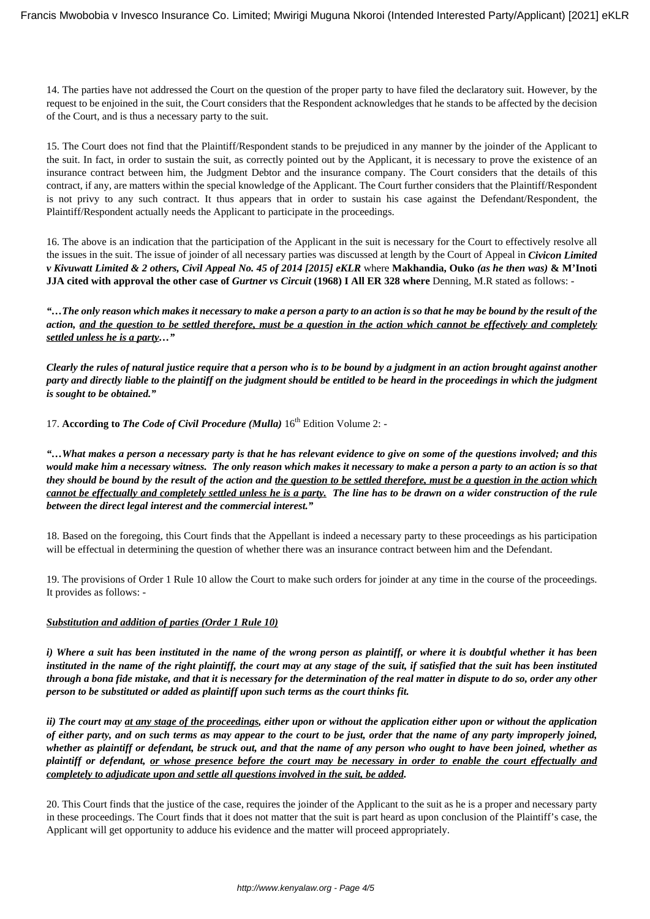14. The parties have not addressed the Court on the question of the proper party to have filed the declaratory suit. However, by the request to be enjoined in the suit, the Court considers that the Respondent acknowledges that he stands to be affected by the decision of the Court, and is thus a necessary party to the suit.

15. The Court does not find that the Plaintiff/Respondent stands to be prejudiced in any manner by the joinder of the Applicant to the suit. In fact, in order to sustain the suit, as correctly pointed out by the Applicant, it is necessary to prove the existence of an insurance contract between him, the Judgment Debtor and the insurance company. The Court considers that the details of this contract, if any, are matters within the special knowledge of the Applicant. The Court further considers that the Plaintiff/Respondent is not privy to any such contract. It thus appears that in order to sustain his case against the Defendant/Respondent, the Plaintiff/Respondent actually needs the Applicant to participate in the proceedings.

16. The above is an indication that the participation of the Applicant in the suit is necessary for the Court to effectively resolve all the issues in the suit. The issue of joinder of all necessary parties was discussed at length by the Court of Appeal in *Civicon Limited v Kivuwatt Limited & 2 others, Civil Appeal No. 45 of 2014 [2015] eKLR* where **Makhandia, Ouko** *(as he then was)* **& M'Inoti JJA cited with approval the other case of** *Gurtner vs Circuit* **(1968) I All ER 328 where** Denning, M.R stated as follows: -

*"…The only reason which makes it necessary to make a person a party to an action is so that he may be bound by the result of the action, and the question to be settled therefore, must be a question in the action which cannot be effectively and completely settled unless he is a party…"*

*Clearly the rules of natural justice require that a person who is to be bound by a judgment in an action brought against another party and directly liable to the plaintiff on the judgment should be entitled to be heard in the proceedings in which the judgment is sought to be obtained."*

17. **According to The Code of Civil Procedure (Mulla)**  $16<sup>th</sup>$  Edition Volume 2: -

*"…What makes a person a necessary party is that he has relevant evidence to give on some of the questions involved; and this would make him a necessary witness. The only reason which makes it necessary to make a person a party to an action is so that they should be bound by the result of the action and the question to be settled therefore, must be a question in the action which cannot be effectually and completely settled unless he is a party. The line has to be drawn on a wider construction of the rule between the direct legal interest and the commercial interest."*

18. Based on the foregoing, this Court finds that the Appellant is indeed a necessary party to these proceedings as his participation will be effectual in determining the question of whether there was an insurance contract between him and the Defendant.

19. The provisions of Order 1 Rule 10 allow the Court to make such orders for joinder at any time in the course of the proceedings. It provides as follows: -

#### *Substitution and addition of parties (Order 1 Rule 10)*

*i) Where a suit has been instituted in the name of the wrong person as plaintiff, or where it is doubtful whether it has been instituted in the name of the right plaintiff, the court may at any stage of the suit, if satisfied that the suit has been instituted through a bona fide mistake, and that it is necessary for the determination of the real matter in dispute to do so, order any other person to be substituted or added as plaintiff upon such terms as the court thinks fit.*

*ii) The court may at any stage of the proceedings, either upon or without the application either upon or without the application of either party, and on such terms as may appear to the court to be just, order that the name of any party improperly joined, whether as plaintiff or defendant, be struck out, and that the name of any person who ought to have been joined, whether as plaintiff or defendant, or whose presence before the court may be necessary in order to enable the court effectually and completely to adjudicate upon and settle all questions involved in the suit, be added.*

20. This Court finds that the justice of the case, requires the joinder of the Applicant to the suit as he is a proper and necessary party in these proceedings. The Court finds that it does not matter that the suit is part heard as upon conclusion of the Plaintiff's case, the Applicant will get opportunity to adduce his evidence and the matter will proceed appropriately.